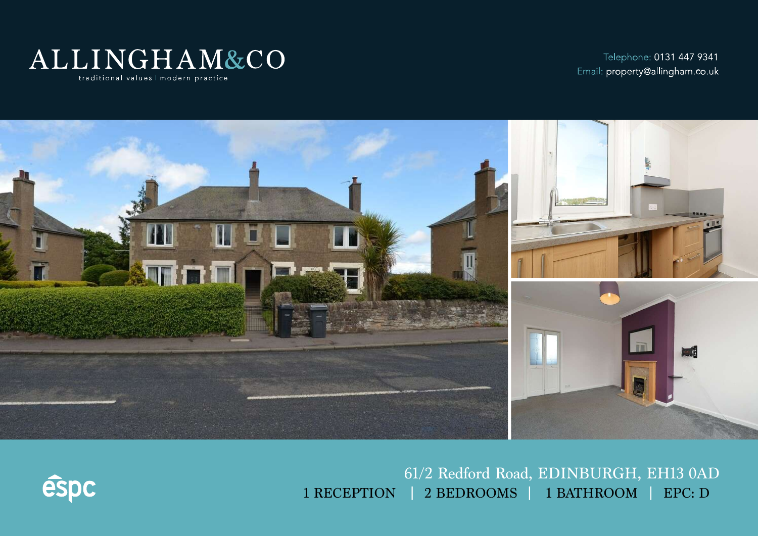

Telephone: 0131 447 9341 Email: property@allingham.co.uk



61/2 Redford Road, EDINBURGH, EH13 0AD 1 RECEPTION | 2 BEDROOMS | 1 BATHROOM | EPC: D

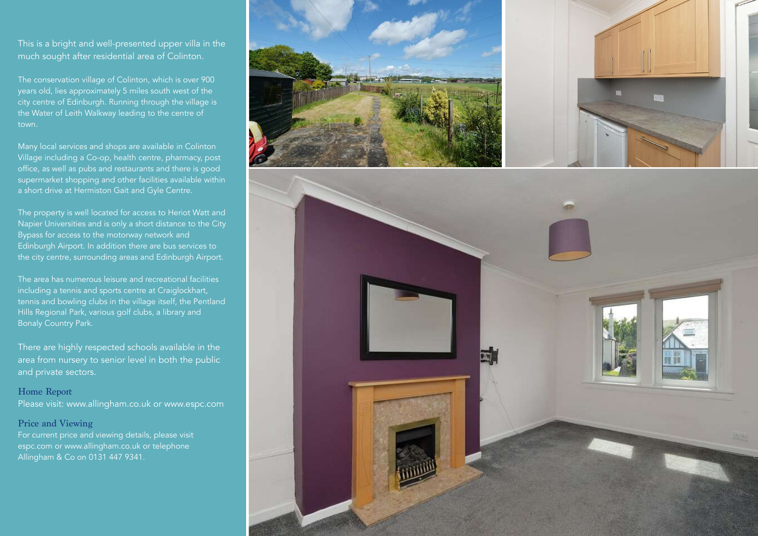This is a bright and well-presented upper villa in the much sought after residential area of Colinton.

The conservation village of Colinton, which is over 900 years old, lies approximately 5 miles south west of the city centre of Edinburgh. Running through the village is the Water of Leith Walkway leading to the centre of town.

Many local services and shops are available in Colinton Village including a Co-op, health centre, pharmacy, post office, as well as pubs and restaurants and there is good supermarket shopping and other facilities available within

The property is well located for access to Heriot Watt and Napier Universities and is only a short distance to the City Bypass for access to the motorway network and Edinburgh Airport. In addition there are bus services to the city centre, surrounding areas and Edinburgh Airport.

The area has numerous leisure and recreational facilities including a tennis and sports centre at Craiglockhart, tennis and bowling clubs in the village itself, the Pentland Hills Regional Park, various golf clubs, a library and Bonaly Country Park.

There are highly respected schools available in the area from nursery to senior level in both the public and private sectors.

Home Report Please visit: www.allingham.co.uk or www.espc.com

#### Price and Viewing

For current price and viewing details, please visit espc.com or www.allingham.co.uk or telephone Allingham & Co on 0131 447 9341.

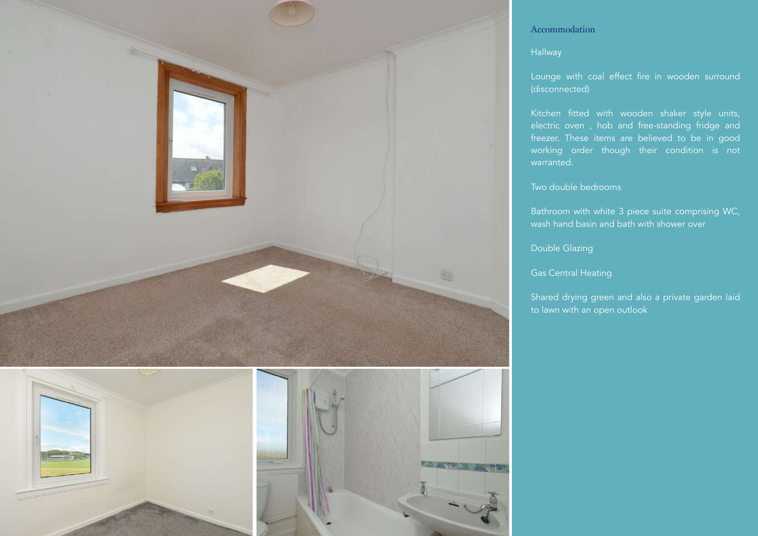



## Accommodation

## Hallway

Lounge with coal effect fire in wooden surround (disconnected)

Kitchen fitted with wooden shaker style units, electric oven , hob and free-standing fridge and freezer. These items are believed to be in good working order though their condition is not warranted.

#### Two double bedrooms

Bathroom with white 3 piece suite comprising WC, wash hand basin and bath with shower over

### Double Glazing

Gas Central Heating

Shared drying green and also a private garden laid to lawn with an open outlook